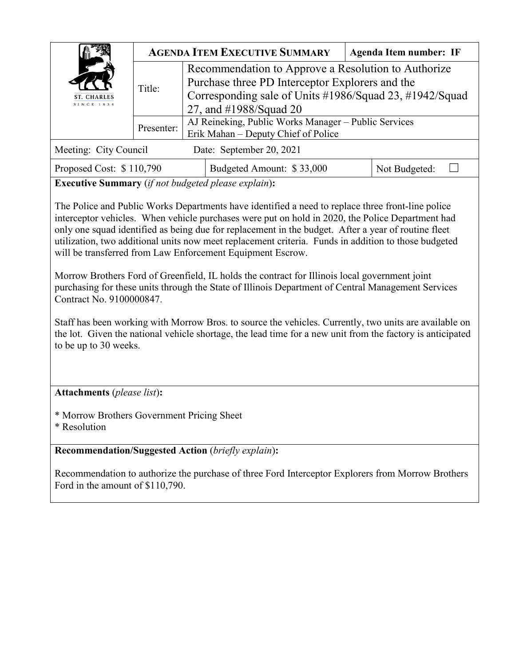| <b>ST. CHARLES</b><br>SINCE 1834                           | <b>AGENDA ITEM EXECUTIVE SUMMARY</b><br><b>Agenda Item number: IF</b> |                                                         |                                                                                                                                                                                                                                                                                                              |               |  |  |  |
|------------------------------------------------------------|-----------------------------------------------------------------------|---------------------------------------------------------|--------------------------------------------------------------------------------------------------------------------------------------------------------------------------------------------------------------------------------------------------------------------------------------------------------------|---------------|--|--|--|
|                                                            | Title:                                                                | Recommendation to Approve a Resolution to Authorize     |                                                                                                                                                                                                                                                                                                              |               |  |  |  |
|                                                            |                                                                       | Purchase three PD Interceptor Explorers and the         |                                                                                                                                                                                                                                                                                                              |               |  |  |  |
|                                                            |                                                                       | Corresponding sale of Units #1986/Squad 23, #1942/Squad |                                                                                                                                                                                                                                                                                                              |               |  |  |  |
|                                                            |                                                                       | 27, and #1988/Squad 20                                  |                                                                                                                                                                                                                                                                                                              |               |  |  |  |
|                                                            | Presenter:                                                            | AJ Reineking, Public Works Manager – Public Services    |                                                                                                                                                                                                                                                                                                              |               |  |  |  |
|                                                            |                                                                       | Erik Mahan - Deputy Chief of Police                     |                                                                                                                                                                                                                                                                                                              |               |  |  |  |
| Meeting: City Council<br>Date: September 20, 2021          |                                                                       |                                                         |                                                                                                                                                                                                                                                                                                              |               |  |  |  |
| Proposed Cost: \$110,790                                   |                                                                       |                                                         | Budgeted Amount: \$33,000                                                                                                                                                                                                                                                                                    | Not Budgeted: |  |  |  |
| <b>Executive Summary</b> (if not budgeted please explain): |                                                                       |                                                         |                                                                                                                                                                                                                                                                                                              |               |  |  |  |
|                                                            |                                                                       |                                                         | The Police and Public Works Departments have identified a need to replace three front-line police<br>interceptor vehicles. When vehicle purchases were put on hold in 2020, the Police Department had<br>only one squad identified as being due for replacement in the budget. After a year of routine fleet |               |  |  |  |

Morrow Brothers Ford of Greenfield, IL holds the contract for Illinois local government joint purchasing for these units through the State of Illinois Department of Central Management Services Contract No. 9100000847.

utilization, two additional units now meet replacement criteria. Funds in addition to those budgeted

Staff has been working with Morrow Bros. to source the vehicles. Currently, two units are available on the lot. Given the national vehicle shortage, the lead time for a new unit from the factory is anticipated to be up to 30 weeks.

**Attachments** (*please list*)**:** 

\* Morrow Brothers Government Pricing Sheet

\* Resolution

**Recommendation/Suggested Action** (*briefly explain*)**:**

will be transferred from Law Enforcement Equipment Escrow.

Recommendation to authorize the purchase of three Ford Interceptor Explorers from Morrow Brothers Ford in the amount of \$110,790.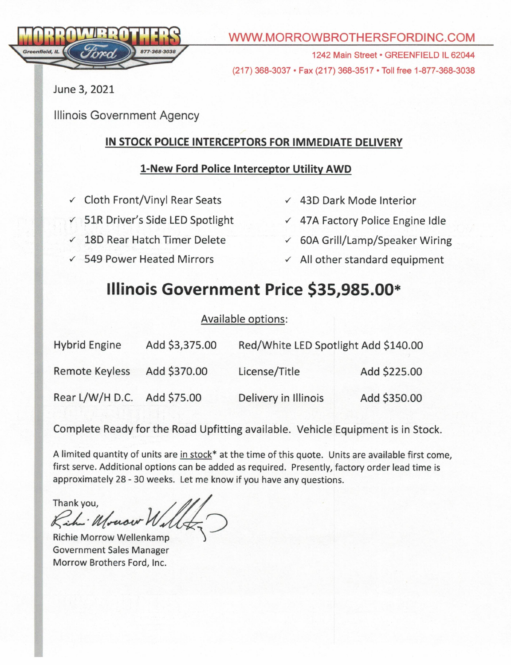

## WWW.MORROWBROTHERSFORDINC.COM

1242 Main Street · GREENFIELD IL 62044 (217) 368-3037 • Fax (217) 368-3517 • Toll free 1-877-368-3038

June 3, 2021

**Illinois Government Agency** 

# IN STOCK POLICE INTERCEPTORS FOR IMMEDIATE DELIVERY

## 1-New Ford Police Interceptor Utility AWD

- ✓ Cloth Front/Vinyl Rear Seats
- ← 51R Driver's Side LED Spotlight
- √ 18D Rear Hatch Timer Delete
- ✓ 549 Power Heated Mirrors
- ✓ 43D Dark Mode Interior
- ← 47A Factory Police Engine Idle
- $\times$  60A Grill/Lamp/Speaker Wiring
- $\checkmark$  All other standard equipment

# Illinois Government Price \$35,985.00\*

#### Available options:

| <b>Hybrid Engine</b>  | Add \$3,375.00 | Red/White LED Spotlight Add \$140.00 |              |  |
|-----------------------|----------------|--------------------------------------|--------------|--|
| <b>Remote Keyless</b> | Add \$370.00   | License/Title                        | Add \$225.00 |  |
| Rear L/W/H D.C.       | Add \$75.00    | Delivery in Illinois                 | Add \$350.00 |  |

Complete Ready for the Road Upfitting available. Vehicle Equipment is in Stock.

A limited quantity of units are in stock\* at the time of this quote. Units are available first come, first serve. Additional options can be added as required. Presently, factory order lead time is approximately 28 - 30 weeks. Let me know if you have any questions.

Thank you, Kihi Mouser

Richie Morrow Wellenkamp **Government Sales Manager** Morrow Brothers Ford, Inc.